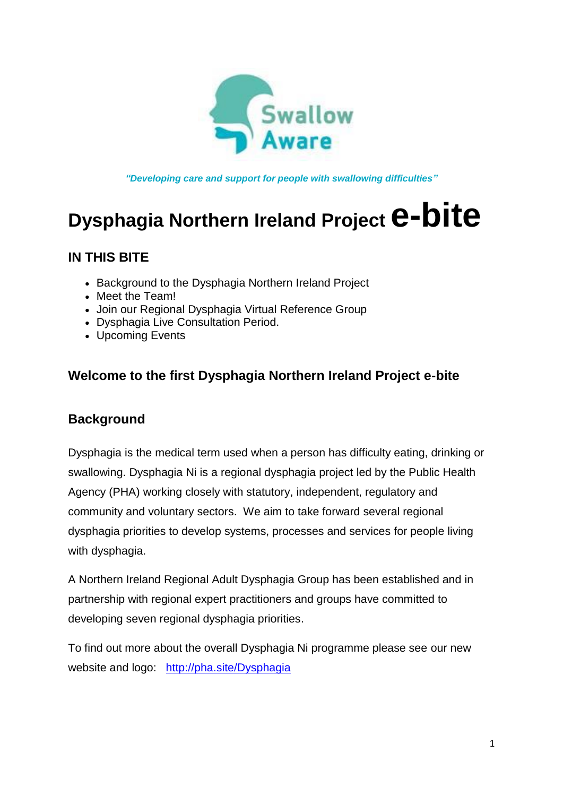

*"Developing care and support for people with swallowing difficulties"*

# **Dysphagia Northern Ireland Project e-bite**

#### **IN THIS BITE**

- Background to the Dysphagia Northern Ireland Project
- Meet the Team!
- Join our Regional Dysphagia Virtual Reference Group
- Dysphagia Live Consultation Period.
- Upcoming Events

#### **Welcome to the first Dysphagia Northern Ireland Project e-bite**

#### **Background**

Dysphagia is the medical term used when a person has difficulty eating, drinking or swallowing. Dysphagia Ni is a regional dysphagia project led by the Public Health Agency (PHA) working closely with statutory, independent, regulatory and community and voluntary sectors. We aim to take forward several regional dysphagia priorities to develop systems, processes and services for people living with dysphagia.

A Northern Ireland Regional Adult Dysphagia Group has been established and in partnership with regional expert practitioners and groups have committed to developing seven regional dysphagia priorities.

To find out more about the overall Dysphagia Ni programme please see our new website and logo: [http://pha.site/Dysphagia](https://pha.site/Dysphagia)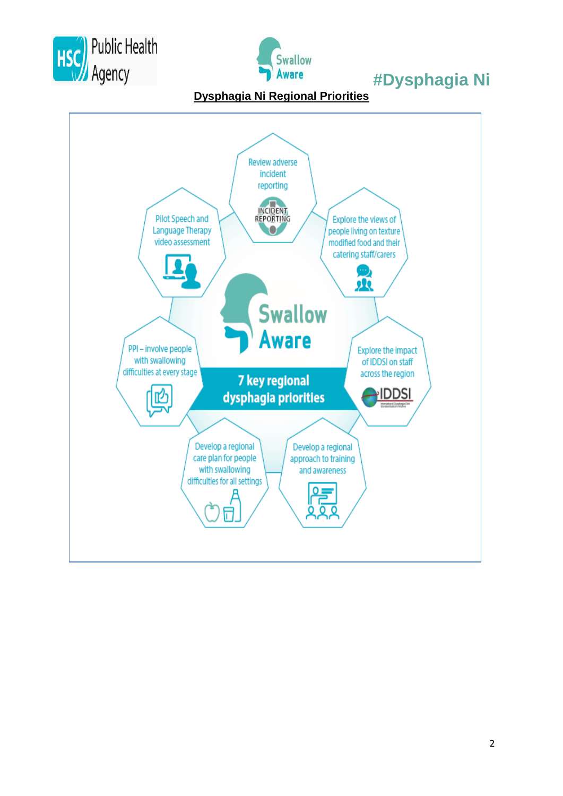



**Dysphagia Ni Regional Priorities**

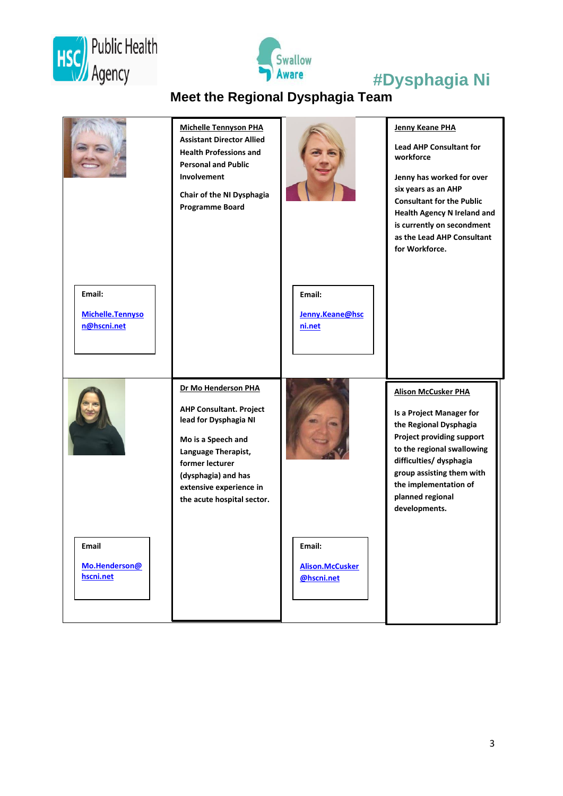



## **Meet the Regional Dysphagia Team**

|                                           | <b>Michelle Tennyson PHA</b><br><b>Assistant Director Allied</b><br><b>Health Professions and</b><br><b>Personal and Public</b><br>Involvement<br>Chair of the NI Dysphagia<br><b>Programme Board</b>                          |                                                | <b>Jenny Keane PHA</b><br><b>Lead AHP Consultant for</b><br>workforce<br>Jenny has worked for over<br>six years as an AHP<br><b>Consultant for the Public</b><br><b>Health Agency N Ireland and</b><br>is currently on secondment<br>as the Lead AHP Consultant<br>for Workforce. |
|-------------------------------------------|--------------------------------------------------------------------------------------------------------------------------------------------------------------------------------------------------------------------------------|------------------------------------------------|-----------------------------------------------------------------------------------------------------------------------------------------------------------------------------------------------------------------------------------------------------------------------------------|
| Email:<br>Michelle.Tennyso<br>n@hscni.net |                                                                                                                                                                                                                                | Email:<br>Jenny.Keane@hsc<br>ni.net            |                                                                                                                                                                                                                                                                                   |
|                                           | Dr Mo Henderson PHA<br><b>AHP Consultant. Project</b><br>lead for Dysphagia NI<br>Mo is a Speech and<br>Language Therapist,<br>former lecturer<br>(dysphagia) and has<br>extensive experience in<br>the acute hospital sector. |                                                | <b>Alison McCusker PHA</b><br><b>Is a Project Manager for</b><br>the Regional Dysphagia<br>Project providing support<br>to the regional swallowing<br>difficulties/ dysphagia<br>group assisting them with<br>the implementation of<br>planned regional<br>developments.          |
| Email<br>Mo.Henderson@<br>hscni.net       |                                                                                                                                                                                                                                | Email:<br><b>Alison.McCusker</b><br>@hscni.net |                                                                                                                                                                                                                                                                                   |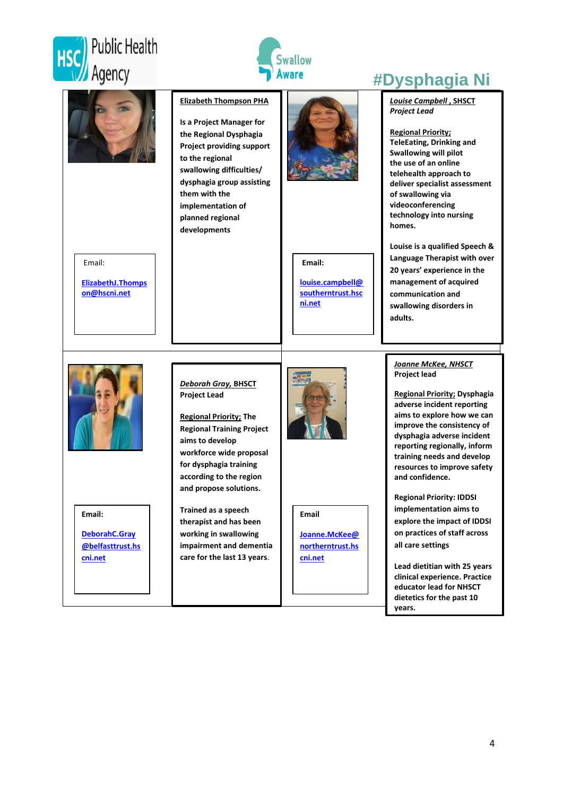





**dietetics for the past 10** 

**years.**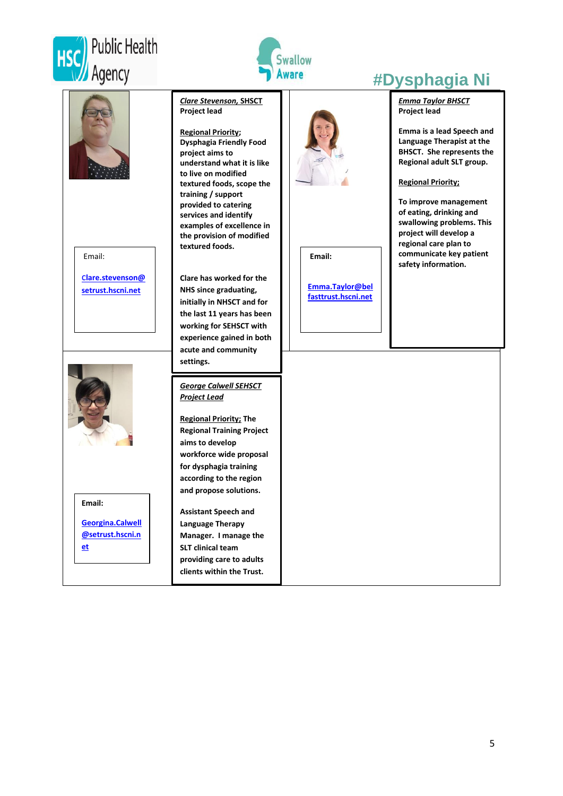



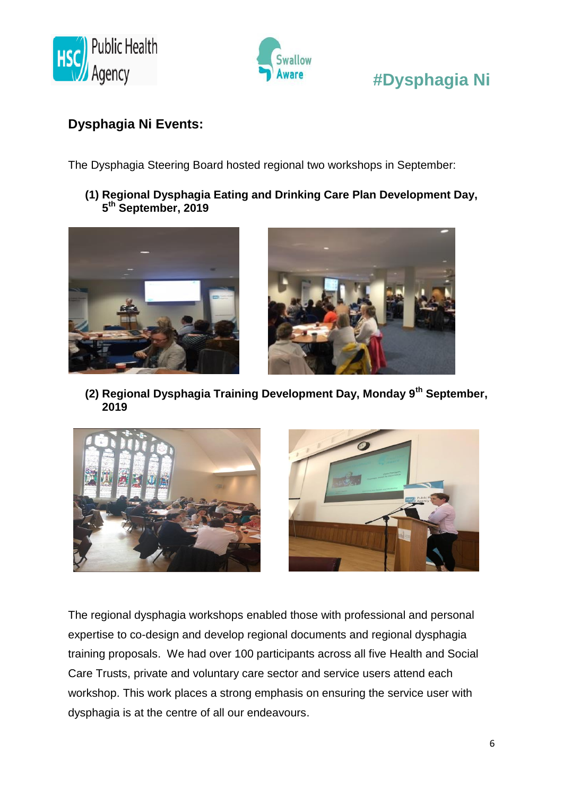



# Agency **Confidence Theorem 2 Theorem 2 areas are the HDysphagia Ni**

#### **Dysphagia Ni Events:**

The Dysphagia Steering Board hosted regional two workshops in September:

**(1) Regional Dysphagia Eating and Drinking Care Plan Development Day, 5 th September, 2019**





**(2) Regional Dysphagia Training Development Day, Monday 9th September, 2019**



The regional dysphagia workshops enabled those with professional and personal expertise to co-design and develop regional documents and regional dysphagia training proposals. We had over 100 participants across all five Health and Social Care Trusts, private and voluntary care sector and service users attend each workshop. This work places a strong emphasis on ensuring the service user with dysphagia is at the centre of all our endeavours.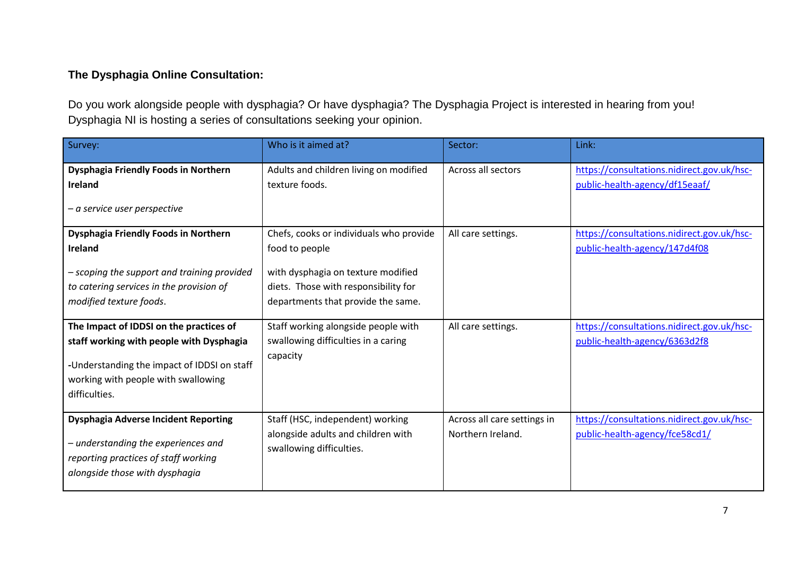#### **The Dysphagia Online Consultation:**

Do you work alongside people with dysphagia? Or have dysphagia? The Dysphagia Project is interested in hearing from you! Dysphagia NI is hosting a series of consultations seeking your opinion.

| Survey:                                                                                                                                                                                    | Who is it aimed at?                                                                                                                                                           | Sector:                                          | Link:                                                                        |
|--------------------------------------------------------------------------------------------------------------------------------------------------------------------------------------------|-------------------------------------------------------------------------------------------------------------------------------------------------------------------------------|--------------------------------------------------|------------------------------------------------------------------------------|
| Dysphagia Friendly Foods in Northern<br>Ireland<br>$-a$ service user perspective                                                                                                           | Adults and children living on modified<br>texture foods.                                                                                                                      | Across all sectors                               | https://consultations.nidirect.gov.uk/hsc-<br>public-health-agency/df15eaaf/ |
| Dysphagia Friendly Foods in Northern<br>Ireland<br>- scoping the support and training provided<br>to catering services in the provision of<br>modified texture foods.                      | Chefs, cooks or individuals who provide<br>food to people<br>with dysphagia on texture modified<br>diets. Those with responsibility for<br>departments that provide the same. | All care settings.                               | https://consultations.nidirect.gov.uk/hsc-<br>public-health-agency/147d4f08  |
| The Impact of IDDSI on the practices of<br>staff working with people with Dysphagia<br>-Understanding the impact of IDDSI on staff<br>working with people with swallowing<br>difficulties. | Staff working alongside people with<br>swallowing difficulties in a caring<br>capacity                                                                                        | All care settings.                               | https://consultations.nidirect.gov.uk/hsc-<br>public-health-agency/6363d2f8  |
| <b>Dysphagia Adverse Incident Reporting</b><br>- understanding the experiences and<br>reporting practices of staff working<br>alongside those with dysphagia                               | Staff (HSC, independent) working<br>alongside adults and children with<br>swallowing difficulties.                                                                            | Across all care settings in<br>Northern Ireland. | https://consultations.nidirect.gov.uk/hsc-<br>public-health-agency/fce58cd1/ |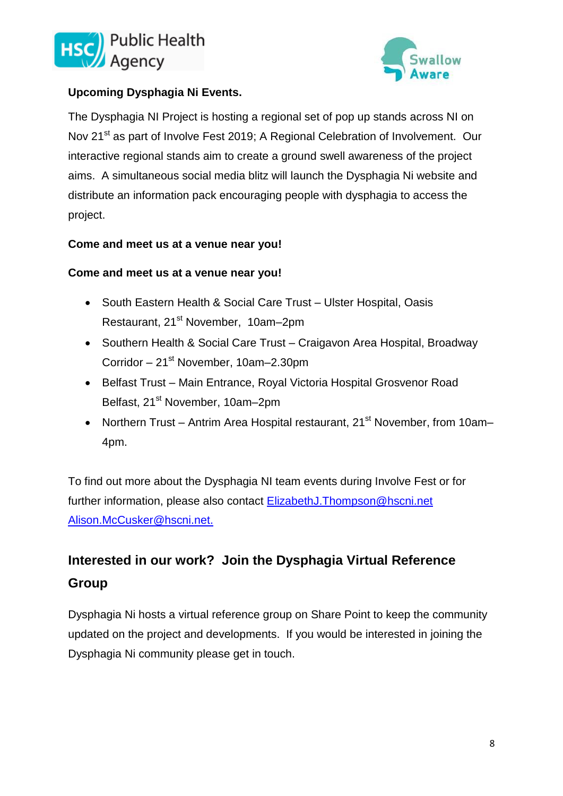



#### **Upcoming Dysphagia Ni Events.**

The Dysphagia NI Project is hosting a regional set of pop up stands across NI on Nov 21<sup>st</sup> as part of Involve Fest 2019; A Regional Celebration of Involvement. Our interactive regional stands aim to create a ground swell awareness of the project aims. A simultaneous social media blitz will launch the Dysphagia Ni website and distribute an information pack encouraging people with dysphagia to access the project.

#### **Come and meet us at a venue near you!**

#### **Come and meet us at a venue near you!**

- South Eastern Health & Social Care Trust Ulster Hospital, Oasis Restaurant, 21<sup>st</sup> November, 10am–2pm
- Southern Health & Social Care Trust Craigavon Area Hospital, Broadway Corridor – 21<sup>st</sup> November, 10am–2.30pm
- Belfast Trust Main Entrance, Roval Victoria Hospital Grosvenor Road Belfast, 21<sup>st</sup> November, 10am–2pm
- Northern Trust Antrim Area Hospital restaurant, 21<sup>st</sup> November, from 10am– 4pm.

To find out more about the Dysphagia NI team events during Involve Fest or for further information, please also contact [ElizabethJ.Thompson@hscni.net](mailto:ElizabethJ.Thompson@hscni.net) [Alison.McCusker@hscni.net.](mailto:Alison.McCusker@hscni.net)

### **Interested in our work? Join the Dysphagia Virtual Reference Group**

Dysphagia Ni hosts a virtual reference group on Share Point to keep the community updated on the project and developments. If you would be interested in joining the Dysphagia Ni community please get in touch.